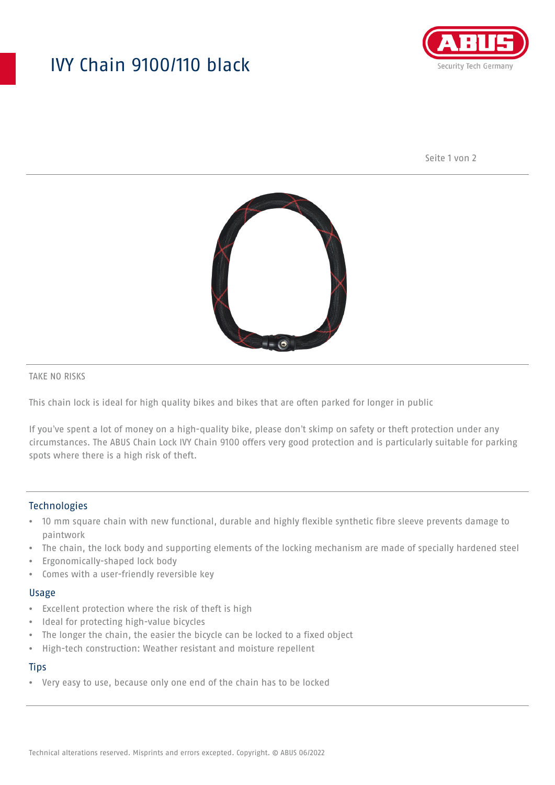# IVY Chain 9100/110 black



Seite 1 von 2



TAKE NO RISKS

This chain lock is ideal for high quality bikes and bikes that are often parked for longer in public

If you've spent a lot of money on a high-quality bike, please don't skimp on safety or theft protection under any circumstances. The ABUS Chain Lock IVY Chain 9100 offers very good protection and is particularly suitable for parking spots where there is a high risk of theft.

#### Technologies

- 10 mm square chain with new functional, durable and highly flexible synthetic fibre sleeve prevents damage to paintwork
- The chain, the lock body and supporting elements of the locking mechanism are made of specially hardened steel
- Ergonomically-shaped lock body
- Comes with a user-friendly reversible key

#### Usage

- Excellent protection where the risk of theft is high
- Ideal for protecting high-value bicycles
- The longer the chain, the easier the bicycle can be locked to a fixed object
- High-tech construction: Weather resistant and moisture repellent

### **Tips**

• Very easy to use, because only one end of the chain has to be locked